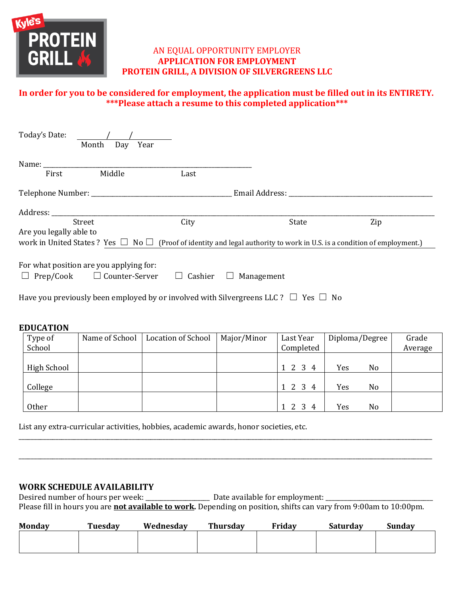

# AN EQUAL OPPORTUNITY EMPLOYER **APPLICATION FOR EMPLOYMENT PROTEIN GRILL, A DIVISION OF SILVERGREENS LLC**

# **In order for you to be considered for employment, the application must be filled out in its ENTIRETY. \*\*\*Please attach a resume to this completed application\*\*\***

| Today's Date:           | Year<br>Month<br>Day                                                              |                   |                                                                                                                                                                                                                                |                                                                                                                                   |
|-------------------------|-----------------------------------------------------------------------------------|-------------------|--------------------------------------------------------------------------------------------------------------------------------------------------------------------------------------------------------------------------------|-----------------------------------------------------------------------------------------------------------------------------------|
| Name:                   |                                                                                   |                   |                                                                                                                                                                                                                                |                                                                                                                                   |
| First                   | Middle                                                                            | Last              |                                                                                                                                                                                                                                |                                                                                                                                   |
|                         |                                                                                   |                   | Email Address: The Contract of the Contract of the Contract of the Contract of the Contract of the Contract of the Contract of the Contract of the Contract of the Contract of the Contract of the Contract of the Contract of |                                                                                                                                   |
|                         |                                                                                   |                   |                                                                                                                                                                                                                                |                                                                                                                                   |
|                         | Street                                                                            | City              | State                                                                                                                                                                                                                          | Zip                                                                                                                               |
| Are you legally able to |                                                                                   |                   |                                                                                                                                                                                                                                |                                                                                                                                   |
|                         |                                                                                   |                   |                                                                                                                                                                                                                                | work in United States? Yes $\Box$ No $\Box$ (Proof of identity and legal authority to work in U.S. is a condition of employment.) |
|                         | For what position are you applying for:<br>$\Box$ Prep/Cook $\Box$ Counter-Server | Cashier<br>$\Box$ | Management<br>$\Box$                                                                                                                                                                                                           |                                                                                                                                   |
|                         |                                                                                   |                   | Have you previously been employed by or involved with Silvergreens LLC? $\square$ Yes $\square$ No                                                                                                                             |                                                                                                                                   |

### **EDUCATION**

| Type of     | Name of School | Location of School | Major/Minor | Last Year | Diploma/Degree |    | Grade   |
|-------------|----------------|--------------------|-------------|-----------|----------------|----|---------|
| School      |                |                    |             | Completed |                |    | Average |
|             |                |                    |             |           |                |    |         |
| High School |                |                    |             | 1 2 3 4   | Yes            | No |         |
|             |                |                    |             |           |                |    |         |
| College     |                |                    |             | 1 2 3 4   | Yes            | No |         |
|             |                |                    |             |           |                |    |         |
| Other       |                |                    |             | 1 2 3 4   | Yes            | No |         |

List any extra-curricular activities, hobbies, academic awards, honor societies, etc.

### **WORK SCHEDULE AVAILABILITY**

Desired number of hours per week: \_\_\_\_\_\_\_\_\_\_\_\_\_\_\_\_\_\_\_\_\_ Date available for employment: \_\_\_\_\_\_\_\_\_\_\_\_\_\_\_\_\_\_\_\_\_\_\_\_\_\_\_\_\_\_\_\_\_\_\_ Please fill in hours you are **not available to work.** Depending on position, shifts can vary from 9:00am to 10:00pm.

\_\_\_\_\_\_\_\_\_\_\_\_\_\_\_\_\_\_\_\_\_\_\_\_\_\_\_\_\_\_\_\_\_\_\_\_\_\_\_\_\_\_\_\_\_\_\_\_\_\_\_\_\_\_\_\_\_\_\_\_\_\_\_\_\_\_\_\_\_\_\_\_\_\_\_\_\_\_\_\_\_\_\_\_\_\_\_\_\_\_\_\_\_\_\_\_\_\_\_\_\_\_\_\_\_\_\_\_\_\_\_\_\_\_\_\_\_\_\_\_\_\_\_\_\_\_\_\_\_\_\_\_\_\_\_

\_\_\_\_\_\_\_\_\_\_\_\_\_\_\_\_\_\_\_\_\_\_\_\_\_\_\_\_\_\_\_\_\_\_\_\_\_\_\_\_\_\_\_\_\_\_\_\_\_\_\_\_\_\_\_\_\_\_\_\_\_\_\_\_\_\_\_\_\_\_\_\_\_\_\_\_\_\_\_\_\_\_\_\_\_\_\_\_\_\_\_\_\_\_\_\_\_\_\_\_\_\_\_\_\_\_\_\_\_\_\_\_\_\_\_\_\_\_\_\_\_\_\_\_\_\_\_\_\_\_\_\_\_\_\_

| <b>Monday</b> | Tuesday | Wednesday | <b>Thursday</b> | Friday | <b>Saturday</b> | Sundav |
|---------------|---------|-----------|-----------------|--------|-----------------|--------|
|               |         |           |                 |        |                 |        |
|               |         |           |                 |        |                 |        |
|               |         |           |                 |        |                 |        |